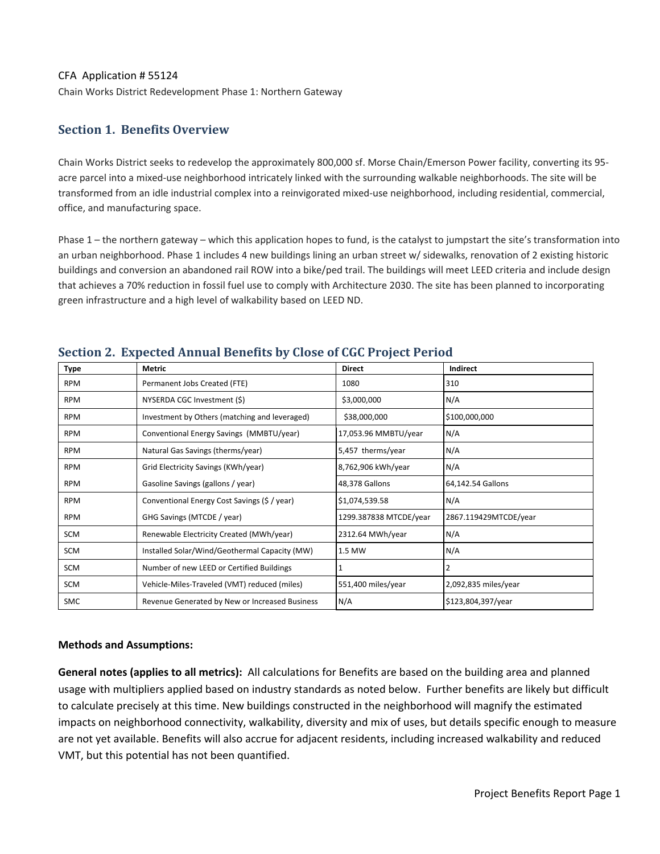#### CFA Application # 55124

Chain Works District Redevelopment Phase 1: Northern Gateway

### **Section 1. Benefits Overview**

Chain Works District seeks to redevelop the approximately 800,000 sf. Morse Chain/Emerson Power facility, converting its 95‐ acre parcel into a mixed‐use neighborhood intricately linked with the surrounding walkable neighborhoods. The site will be transformed from an idle industrial complex into a reinvigorated mixed‐use neighborhood, including residential, commercial, office, and manufacturing space.

Phase 1 – the northern gateway – which this application hopes to fund, is the catalyst to jumpstart the site's transformation into an urban neighborhood. Phase 1 includes 4 new buildings lining an urban street w/ sidewalks, renovation of 2 existing historic buildings and conversion an abandoned rail ROW into a bike/ped trail. The buildings will meet LEED criteria and include design that achieves a 70% reduction in fossil fuel use to comply with Architecture 2030. The site has been planned to incorporating green infrastructure and a high level of walkability based on LEED ND.

| <b>Type</b> | <b>Metric</b>                                  | <b>Direct</b>          | Indirect              |  |
|-------------|------------------------------------------------|------------------------|-----------------------|--|
| <b>RPM</b>  | Permanent Jobs Created (FTE)                   | 1080                   | 310                   |  |
| <b>RPM</b>  | NYSERDA CGC Investment (\$)                    | \$3,000,000            | N/A                   |  |
| <b>RPM</b>  | Investment by Others (matching and leveraged)  | \$38,000,000           | \$100,000,000         |  |
| <b>RPM</b>  | Conventional Energy Savings (MMBTU/year)       | 17,053.96 MMBTU/year   | N/A                   |  |
| <b>RPM</b>  | Natural Gas Savings (therms/year)              | 5,457 therms/year      | N/A                   |  |
| <b>RPM</b>  | Grid Electricity Savings (KWh/year)            | 8,762,906 kWh/year     | N/A                   |  |
| <b>RPM</b>  | Gasoline Savings (gallons / year)              | 48,378 Gallons         | 64,142.54 Gallons     |  |
| <b>RPM</b>  | Conventional Energy Cost Savings (\$ / year)   | \$1,074,539.58         | N/A                   |  |
| <b>RPM</b>  | GHG Savings (MTCDE / year)                     | 1299.387838 MTCDE/year | 2867.119429MTCDE/year |  |
| SCM         | Renewable Electricity Created (MWh/year)       | 2312.64 MWh/year       | N/A                   |  |
| SCM         | Installed Solar/Wind/Geothermal Capacity (MW)  | 1.5 MW                 | N/A                   |  |
| SCM         | Number of new LEED or Certified Buildings      |                        | $\overline{2}$        |  |
| SCM         | Vehicle-Miles-Traveled (VMT) reduced (miles)   | 551,400 miles/year     | 2,092,835 miles/year  |  |
| <b>SMC</b>  | Revenue Generated by New or Increased Business | N/A                    | \$123,804,397/year    |  |

### **Section 2. Expected Annual Benefits by Close of CGC Project Period**

#### **Methods and Assumptions:**

**General notes (applies to all metrics):** All calculations for Benefits are based on the building area and planned usage with multipliers applied based on industry standards as noted below. Further benefits are likely but difficult to calculate precisely at this time. New buildings constructed in the neighborhood will magnify the estimated impacts on neighborhood connectivity, walkability, diversity and mix of uses, but details specific enough to measure are not yet available. Benefits will also accrue for adjacent residents, including increased walkability and reduced VMT, but this potential has not been quantified.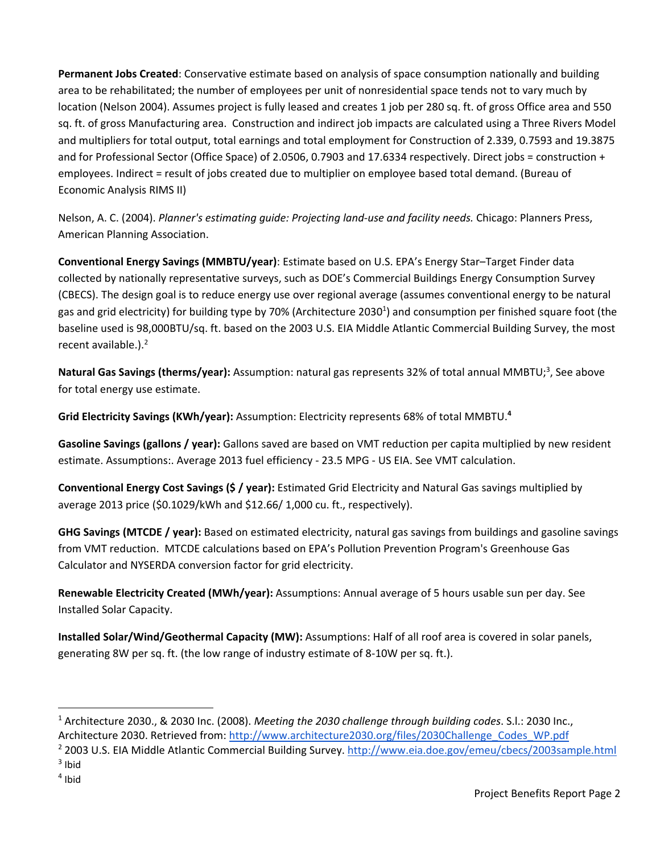**Permanent Jobs Created**: Conservative estimate based on analysis of space consumption nationally and building area to be rehabilitated; the number of employees per unit of nonresidential space tends not to vary much by location (Nelson 2004). Assumes project is fully leased and creates 1 job per 280 sq. ft. of gross Office area and 550 sq. ft. of gross Manufacturing area. Construction and indirect job impacts are calculated using a Three Rivers Model and multipliers for total output, total earnings and total employment for Construction of 2.339, 0.7593 and 19.3875 and for Professional Sector (Office Space) of 2.0506, 0.7903 and 17.6334 respectively. Direct jobs = construction + employees. Indirect = result of jobs created due to multiplier on employee based total demand. (Bureau of Economic Analysis RIMS II)

Nelson, A. C. (2004). *Planner's estimating guide: Projecting land‐use and facility needs.* Chicago: Planners Press, American Planning Association.

**Conventional Energy Savings (MMBTU/year)**: Estimate based on U.S. EPA's Energy Star–Target Finder data collected by nationally representative surveys, such as DOE's Commercial Buildings Energy Consumption Survey (CBECS). The design goal is to reduce energy use over regional average (assumes conventional energy to be natural gas and grid electricity) for building type by 70% (Architecture 2030<sup>1</sup>) and consumption per finished square foot (the baseline used is 98,000BTU/sq. ft. based on the 2003 U.S. EIA Middle Atlantic Commercial Building Survey, the most recent available.).<sup>2</sup>

Natural Gas Savings (therms/year): Assumption: natural gas represents 32% of total annual MMBTU;<sup>3</sup>, See above for total energy use estimate.

**Grid Electricity Savings (KWh/year):** Assumption: Electricity represents 68% of total MMBTU.**<sup>4</sup>**

**Gasoline Savings (gallons / year):** Gallons saved are based on VMT reduction per capita multiplied by new resident estimate. Assumptions:. Average 2013 fuel efficiency ‐ 23.5 MPG ‐ US EIA. See VMT calculation.

**Conventional Energy Cost Savings (\$ / year):** Estimated Grid Electricity and Natural Gas savings multiplied by average 2013 price (\$0.1029/kWh and \$12.66/ 1,000 cu. ft., respectively).

**GHG Savings (MTCDE / year):** Based on estimated electricity, natural gas savings from buildings and gasoline savings from VMT reduction. MTCDE calculations based on EPA's Pollution Prevention Program's Greenhouse Gas Calculator and NYSERDA conversion factor for grid electricity.

**Renewable Electricity Created (MWh/year):** Assumptions: Annual average of 5 hours usable sun per day. See Installed Solar Capacity.

**Installed Solar/Wind/Geothermal Capacity (MW):** Assumptions: Half of all roof area is covered in solar panels, generating 8W per sq. ft. (the low range of industry estimate of 8‐10W per sq. ft.).

<sup>1</sup> Architecture 2030., & 2030 Inc. (2008). *Meeting the 2030 challenge through building codes*. S.l.: 2030 Inc., Architecture 2030. Retrieved from: http://www.architecture2030.org/files/2030Challenge\_Codes\_WP.pdf

<sup>2</sup> 2003 U.S. EIA Middle Atlantic Commercial Building Survey. http://www.eia.doe.gov/emeu/cbecs/2003sample.html  $3$  Ibid

 $4$  Ibid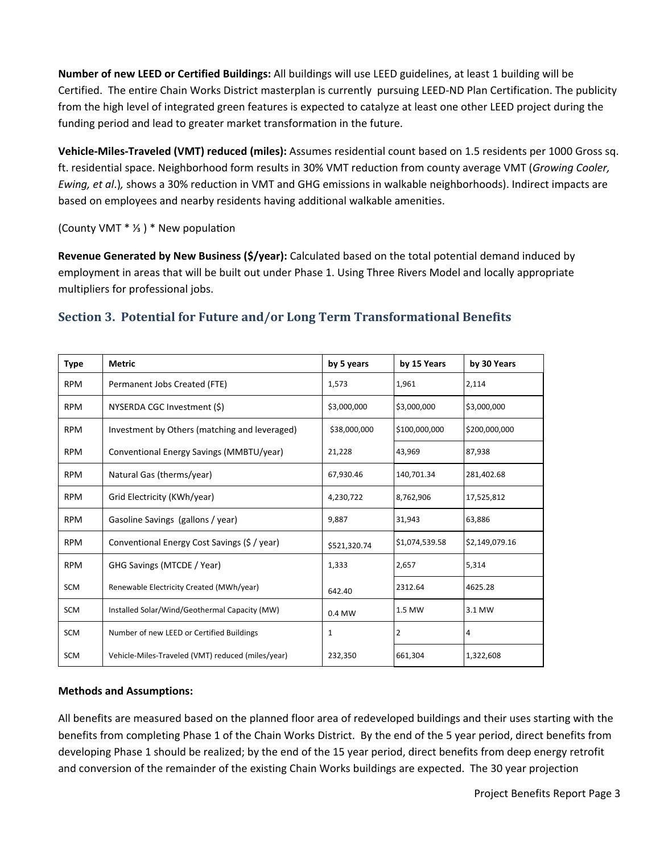**Number of new LEED or Certified Buildings:** All buildings will use LEED guidelines, at least 1 building will be Certified. The entire Chain Works District masterplan is currently pursuing LEED‐ND Plan Certification. The publicity from the high level of integrated green features is expected to catalyze at least one other LEED project during the funding period and lead to greater market transformation in the future.

**Vehicle‐Miles‐Traveled (VMT) reduced (miles):** Assumes residential count based on 1.5 residents per 1000 Gross sq. ft. residential space. Neighborhood form results in 30% VMT reduction from county average VMT (*Growing Cooler, Ewing, et al*.)*,* shows a 30% reduction in VMT and GHG emissions in walkable neighborhoods). Indirect impacts are based on employees and nearby residents having additional walkable amenities.

(County VMT \* ⅓) \* New population

**Revenue Generated by New Business (\$/year):** Calculated based on the total potential demand induced by employment in areas that will be built out under Phase 1. Using Three Rivers Model and locally appropriate multipliers for professional jobs.

## **Section 3. Potential for Future and/or Long Term Transformational Benefits**

| <b>Type</b> | <b>Metric</b>                                     | by 5 years   | by 15 Years    | by 30 Years    |
|-------------|---------------------------------------------------|--------------|----------------|----------------|
| <b>RPM</b>  | Permanent Jobs Created (FTE)                      | 1,573        | 1,961          | 2,114          |
| <b>RPM</b>  | NYSERDA CGC Investment (\$)                       | \$3,000,000  | \$3,000,000    | \$3,000,000    |
| <b>RPM</b>  | Investment by Others (matching and leveraged)     | \$38,000,000 | \$100,000,000  | \$200,000,000  |
| <b>RPM</b>  | Conventional Energy Savings (MMBTU/year)          | 21,228       | 43,969         | 87,938         |
| <b>RPM</b>  | Natural Gas (therms/year)                         | 67,930.46    | 140,701.34     | 281,402.68     |
| <b>RPM</b>  | Grid Electricity (KWh/year)                       | 4,230,722    | 8,762,906      | 17,525,812     |
| <b>RPM</b>  | Gasoline Savings (gallons / year)                 | 9,887        | 31,943         | 63,886         |
| <b>RPM</b>  | Conventional Energy Cost Savings (\$ / year)      | \$521,320.74 | \$1,074,539.58 | \$2,149,079.16 |
| <b>RPM</b>  | GHG Savings (MTCDE / Year)                        | 1,333        | 2,657          | 5,314          |
| <b>SCM</b>  | Renewable Electricity Created (MWh/year)          | 642.40       | 2312.64        | 4625.28        |
| <b>SCM</b>  | Installed Solar/Wind/Geothermal Capacity (MW)     | 0.4 MW       | 1.5 MW         | 3.1 MW         |
| <b>SCM</b>  | Number of new LEED or Certified Buildings         | 1            | 2              | 4              |
| <b>SCM</b>  | Vehicle-Miles-Traveled (VMT) reduced (miles/year) | 232,350      | 661,304        | 1,322,608      |

### **Methods and Assumptions:**

All benefits are measured based on the planned floor area of redeveloped buildings and their uses starting with the benefits from completing Phase 1 of the Chain Works District. By the end of the 5 year period, direct benefits from developing Phase 1 should be realized; by the end of the 15 year period, direct benefits from deep energy retrofit and conversion of the remainder of the existing Chain Works buildings are expected. The 30 year projection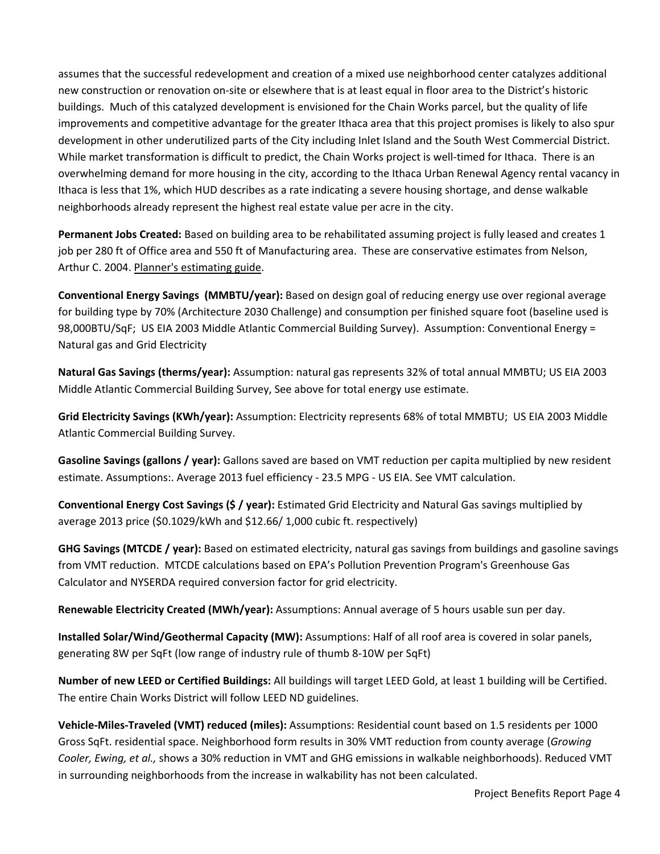assumes that the successful redevelopment and creation of a mixed use neighborhood center catalyzes additional new construction or renovation on‐site or elsewhere that is at least equal in floor area to the District's historic buildings. Much of this catalyzed development is envisioned for the Chain Works parcel, but the quality of life improvements and competitive advantage for the greater Ithaca area that this project promises is likely to also spur development in other underutilized parts of the City including Inlet Island and the South West Commercial District. While market transformation is difficult to predict, the Chain Works project is well-timed for Ithaca. There is an overwhelming demand for more housing in the city, according to the Ithaca Urban Renewal Agency rental vacancy in Ithaca is less that 1%, which HUD describes as a rate indicating a severe housing shortage, and dense walkable neighborhoods already represent the highest real estate value per acre in the city.

**Permanent Jobs Created:** Based on building area to be rehabilitated assuming project is fully leased and creates 1 job per 280 ft of Office area and 550 ft of Manufacturing area. These are conservative estimates from Nelson, Arthur C. 2004. Planner's estimating guide.

**Conventional Energy Savings (MMBTU/year):** Based on design goal of reducing energy use over regional average for building type by 70% (Architecture 2030 Challenge) and consumption per finished square foot (baseline used is 98,000BTU/SqF; US EIA 2003 Middle Atlantic Commercial Building Survey). Assumption: Conventional Energy = Natural gas and Grid Electricity

**Natural Gas Savings (therms/year):** Assumption: natural gas represents 32% of total annual MMBTU; US EIA 2003 Middle Atlantic Commercial Building Survey, See above for total energy use estimate.

**Grid Electricity Savings (KWh/year):** Assumption: Electricity represents 68% of total MMBTU; US EIA 2003 Middle Atlantic Commercial Building Survey.

**Gasoline Savings (gallons / year):** Gallons saved are based on VMT reduction per capita multiplied by new resident estimate. Assumptions:. Average 2013 fuel efficiency ‐ 23.5 MPG ‐ US EIA. See VMT calculation.

**Conventional Energy Cost Savings (\$ / year):** Estimated Grid Electricity and Natural Gas savings multiplied by average 2013 price (\$0.1029/kWh and \$12.66/ 1,000 cubic ft. respectively)

**GHG Savings (MTCDE / year):** Based on estimated electricity, natural gas savings from buildings and gasoline savings from VMT reduction. MTCDE calculations based on EPA's Pollution Prevention Program's Greenhouse Gas Calculator and NYSERDA required conversion factor for grid electricity.

**Renewable Electricity Created (MWh/year):** Assumptions: Annual average of 5 hours usable sun per day.

**Installed Solar/Wind/Geothermal Capacity (MW):** Assumptions: Half of all roof area is covered in solar panels, generating 8W per SqFt (low range of industry rule of thumb 8‐10W per SqFt)

**Number of new LEED or Certified Buildings:** All buildings will target LEED Gold, at least 1 building will be Certified. The entire Chain Works District will follow LEED ND guidelines.

**Vehicle‐Miles‐Traveled (VMT) reduced (miles):** Assumptions: Residential count based on 1.5 residents per 1000 Gross SqFt. residential space. Neighborhood form results in 30% VMT reduction from county average (*Growing Cooler, Ewing, et al.,* shows a 30% reduction in VMT and GHG emissions in walkable neighborhoods). Reduced VMT in surrounding neighborhoods from the increase in walkability has not been calculated.